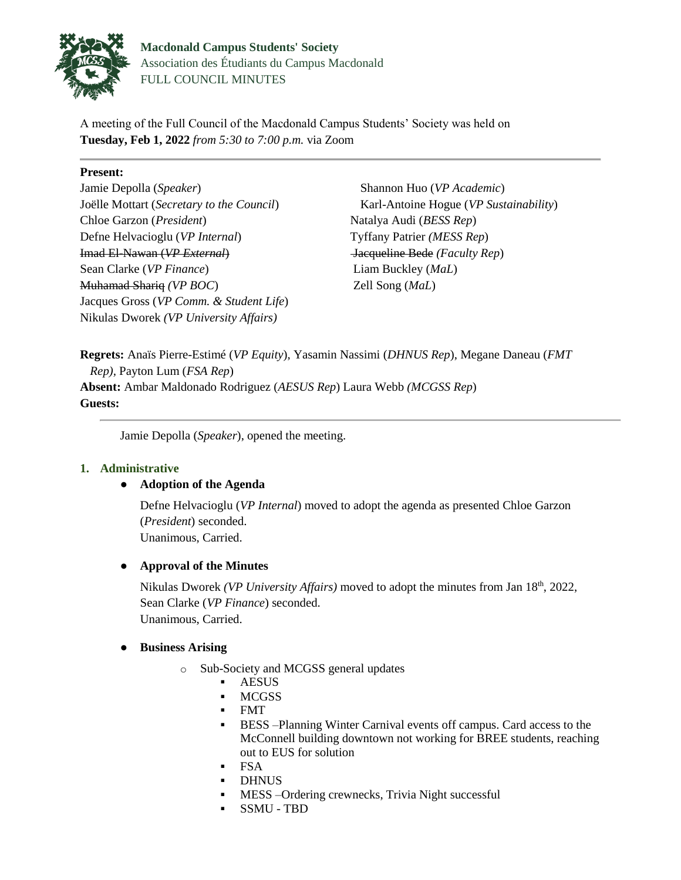

A meeting of the Full Council of the Macdonald Campus Students' Society was held on **Tuesday, Feb 1, 2022** *from 5:30 to 7:00 p.m.* via Zoom

### **Present:**

Jamie Depolla (*Speaker*) Joëlle Mottart (*Secretary to the Council*) Chloe Garzon (*President*) Defne Helvacioglu (*VP Internal*) Imad El-Nawan (*VP External*) Sean Clarke (*VP Finance*) Muhamad Shariq *(VP BOC*) Jacques Gross (*VP Comm. & Student Life*) Nikulas Dworek *(VP University Affairs)*

Shannon Huo (*VP Academic*) Karl-Antoine Hogue (*VP Sustainability*) Natalya Audi (*BESS Rep*) Tyffany Patrier *(MESS Rep*) Jacqueline Bede *(Faculty Rep*) Liam Buckley (*MaL*) Zell Song (*MaL*)

**Regrets:** Anaïs Pierre-Estimé (*VP Equity*), Yasamin Nassimi (*DHNUS Rep*), Megane Daneau (*FMT Rep),* Payton Lum (*FSA Rep*) **Absent:** Ambar Maldonado Rodriguez (*AESUS Rep*) Laura Webb *(MCGSS Rep*) **Guests:** 

Jamie Depolla (*Speaker*), opened the meeting.

# **1. Administrative**

# ● **Adoption of the Agenda**

Defne Helvacioglu (*VP Internal*) moved to adopt the agenda as presented Chloe Garzon (*President*) seconded. Unanimous, Carried.

# ● **Approval of the Minutes**

Nikulas Dworek *(VP University Affairs)* moved to adopt the minutes from Jan 18th, 2022, Sean Clarke (*VP Finance*) seconded. Unanimous, Carried.

# ● **Business Arising**

- o Sub-Society and MCGSS general updates
	- AESUS
	- **MCGSS**
	- FMT
	- BESS –Planning Winter Carnival events off campus. Card access to the McConnell building downtown not working for BREE students, reaching out to EUS for solution
	- FSA
	- DHNUS
	- **MESS** Ordering crewnecks, Trivia Night successful
	- SSMU TBD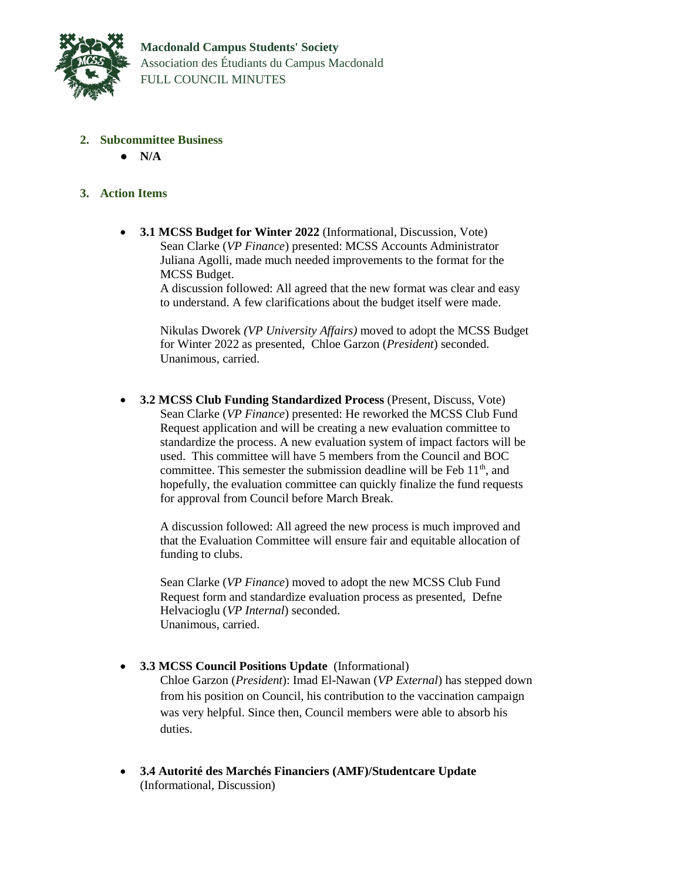

- **2. Subcommittee Business**
	- **N/A**

### **3. Action Items**

 **3.1 MCSS Budget for Winter 2022** (Informational, Discussion, Vote) Sean Clarke (*VP Finance*) presented: MCSS Accounts Administrator Juliana Agolli, made much needed improvements to the format for the MCSS Budget.

> A discussion followed: All agreed that the new format was clear and easy to understand. A few clarifications about the budget itself were made.

Nikulas Dworek *(VP University Affairs)* moved to adopt the MCSS Budget for Winter 2022 as presented, Chloe Garzon (*President*) seconded. Unanimous, carried.

 **3.2 MCSS Club Funding Standardized Process** (Present, Discuss, Vote) Sean Clarke (*VP Finance*) presented: He reworked the MCSS Club Fund Request application and will be creating a new evaluation committee to standardize the process. A new evaluation system of impact factors will be used. This committee will have 5 members from the Council and BOC committee. This semester the submission deadline will be Feb  $11<sup>th</sup>$ , and hopefully, the evaluation committee can quickly finalize the fund requests for approval from Council before March Break.

A discussion followed: All agreed the new process is much improved and that the Evaluation Committee will ensure fair and equitable allocation of funding to clubs.

Sean Clarke (*VP Finance*) moved to adopt the new MCSS Club Fund Request form and standardize evaluation process as presented, Defne Helvacioglu (*VP Internal*) seconded. Unanimous, carried.

**3.3 MCSS Council Positions Update** (Informational)

Chloe Garzon (*President*): Imad El-Nawan (*VP External*) has stepped down from his position on Council, his contribution to the vaccination campaign was very helpful. Since then, Council members were able to absorb his duties.

 **3.4 Autorité des Marchés Financiers (AMF)/Studentcare Update**  (Informational, Discussion)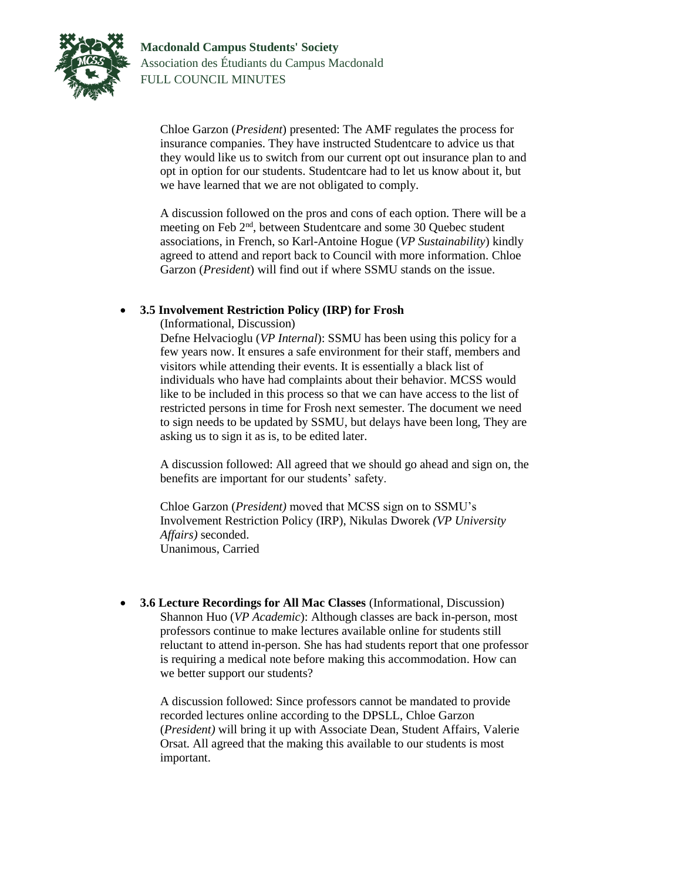

Chloe Garzon (*President*) presented: The AMF regulates the process for insurance companies. They have instructed Studentcare to advice us that they would like us to switch from our current opt out insurance plan to and opt in option for our students. Studentcare had to let us know about it, but we have learned that we are not obligated to comply.

A discussion followed on the pros and cons of each option. There will be a meeting on Feb 2<sup>nd</sup>, between Studentcare and some 30 Quebec student associations, in French, so Karl-Antoine Hogue (*VP Sustainability*) kindly agreed to attend and report back to Council with more information. Chloe Garzon (*President*) will find out if where SSMU stands on the issue.

### **3.5 Involvement Restriction Policy (IRP) for Frosh**

(Informational, Discussion)

Defne Helvacioglu (*VP Internal*): SSMU has been using this policy for a few years now. It ensures a safe environment for their staff, members and visitors while attending their events. It is essentially a black list of individuals who have had complaints about their behavior. MCSS would like to be included in this process so that we can have access to the list of restricted persons in time for Frosh next semester. The document we need to sign needs to be updated by SSMU, but delays have been long, They are asking us to sign it as is, to be edited later.

A discussion followed: All agreed that we should go ahead and sign on, the benefits are important for our students' safety.

Chloe Garzon (*President)* moved that MCSS sign on to SSMU's Involvement Restriction Policy (IRP), Nikulas Dworek *(VP University Affairs)* seconded. Unanimous, Carried

 **3.6 Lecture Recordings for All Mac Classes** (Informational, Discussion) Shannon Huo (*VP Academic*): Although classes are back in-person, most professors continue to make lectures available online for students still reluctant to attend in-person. She has had students report that one professor is requiring a medical note before making this accommodation. How can we better support our students?

A discussion followed: Since professors cannot be mandated to provide recorded lectures online according to the DPSLL, Chloe Garzon (*President)* will bring it up with Associate Dean, Student Affairs, Valerie Orsat. All agreed that the making this available to our students is most important.